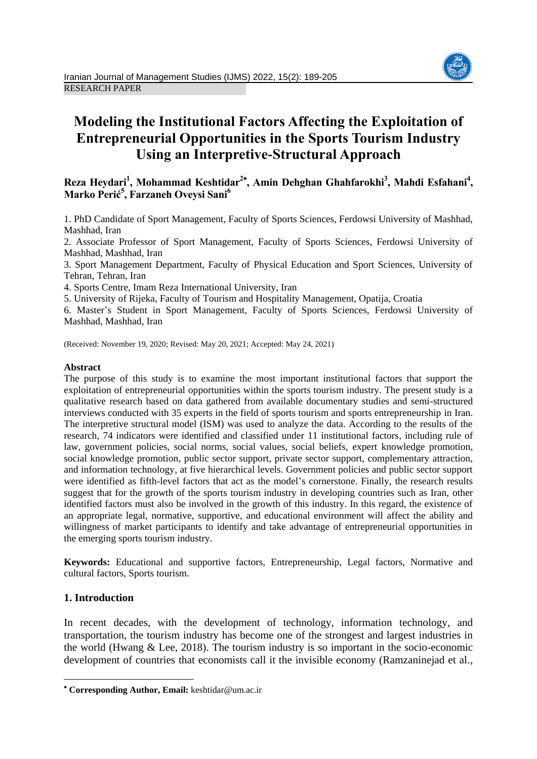# **Modeling the Institutional Factors Affecting the Exploitation of Entrepreneurial Opportunities in the Sports Tourism Industry Using an Interpretive-Structural Approach**

## **Reza Heydari<sup>1</sup> , Mohammad Keshtidar<sup>2</sup> , Amin Dehghan Ghahfarokhi<sup>3</sup> , Mahdi Esfahani<sup>4</sup> , Marko Perić<sup>5</sup> , Farzaneh Oveysi Sani<sup>6</sup>**

1. PhD Candidate of Sport Management, Faculty of Sports Sciences, Ferdowsi University of Mashhad, Mashhad, Iran

2. Associate Professor of Sport Management, Faculty of Sports Sciences, Ferdowsi University of Mashhad, Mashhad, Iran

3. Sport Management Department, Faculty of Physical Education and Sport Sciences, University of Tehran, Tehran, Iran

4. Sports Centre, Imam Reza International University, Iran

5. University of Rijeka, Faculty of Tourism and Hospitality Management, Opatija, Croatia

6. Master's Student in Sport Management, Faculty of Sports Sciences, Ferdowsi University of Mashhad, Mashhad, Iran

(Received: November 19, 2020; Revised: May 20, 2021; Accepted: May 24, 2021)

#### **Abstract**

The purpose of this study is to examine the most important institutional factors that support the exploitation of entrepreneurial opportunities within the sports tourism industry. The present study is a qualitative research based on data gathered from available documentary studies and semi-structured interviews conducted with 35 experts in the field of sports tourism and sports entrepreneurship in Iran. The interpretive structural model (ISM) was used to analyze the data. According to the results of the research, 74 indicators were identified and classified under 11 institutional factors, including rule of law, government policies, social norms, social values, social beliefs, expert knowledge promotion, social knowledge promotion, public sector support, private sector support, complementary attraction, and information technology, at five hierarchical levels. Government policies and public sector support were identified as fifth-level factors that act as the model's cornerstone. Finally, the research results suggest that for the growth of the sports tourism industry in developing countries such as Iran, other identified factors must also be involved in the growth of this industry. In this regard, the existence of an appropriate legal, normative, supportive, and educational environment will affect the ability and willingness of market participants to identify and take advantage of entrepreneurial opportunities in the emerging sports tourism industry.

**Keywords:** Educational and supportive factors, Entrepreneurship, Legal factors, Normative and cultural factors, Sports tourism.

## **1. Introduction**

**.** 

In recent decades, with the development of technology, information technology, and transportation, the tourism industry has become one of the strongest and largest industries in the world (Hwang  $\&$  Lee, 2018). The tourism industry is so important in the socio-economic development of countries that economists call it the invisible economy (Ramzaninejad et al.,



**Corresponding Author, Email:** keshtidar@um.ac.ir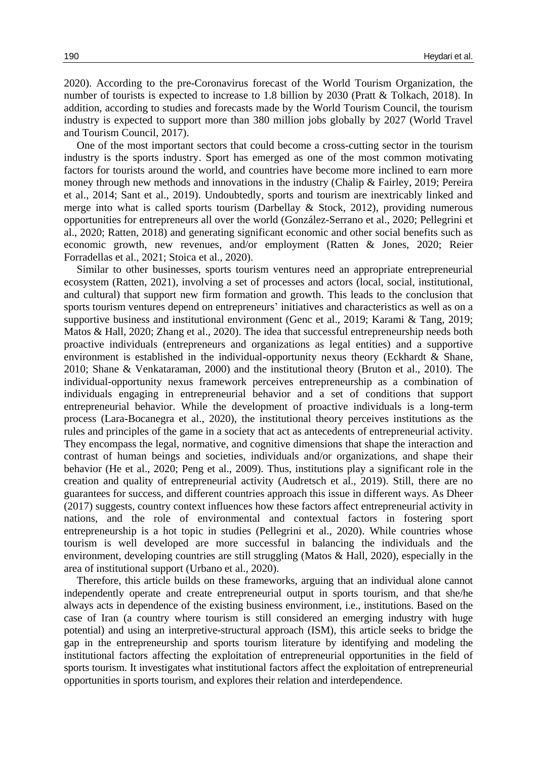2020). According to the pre-Coronavirus forecast of the World Tourism Organization, the number of tourists is expected to increase to 1.8 billion by 2030 (Pratt & Tolkach, 2018). In addition, according to studies and forecasts made by the World Tourism Council, the tourism industry is expected to support more than 380 million jobs globally by 2027 (World Travel and Tourism Council, 2017).

One of the most important sectors that could become a cross-cutting sector in the tourism industry is the sports industry. Sport has emerged as one of the most common motivating factors for tourists around the world, and countries have become more inclined to earn more money through new methods and innovations in the industry (Chalip & Fairley, 2019; Pereira et al., 2014; Sant et al., 2019). Undoubtedly, sports and tourism are inextricably linked and merge into what is called sports tourism (Darbellay & Stock, 2012), providing numerous opportunities for entrepreneurs all over the world (González-Serrano et al., 2020; Pellegrini et al., 2020; Ratten, 2018) and generating significant economic and other social benefits such as economic growth, new revenues, and/or employment (Ratten & Jones, 2020; Reier Forradellas et al., 2021; Stoica et al., 2020).

Similar to other businesses, sports tourism ventures need an appropriate entrepreneurial ecosystem (Ratten, 2021), involving a set of processes and actors (local, social, institutional, and cultural) that support new firm formation and growth. This leads to the conclusion that sports tourism ventures depend on entrepreneurs' initiatives and characteristics as well as on a supportive business and institutional environment (Genc et al., 2019; Karami & Tang, 2019; Matos & Hall, 2020; Zhang et al., 2020). The idea that successful entrepreneurship needs both proactive individuals (entrepreneurs and organizations as legal entities) and a supportive environment is established in the individual-opportunity nexus theory (Eckhardt & Shane, 2010; Shane & Venkataraman, 2000) and the institutional theory (Bruton et al., 2010). The individual-opportunity nexus framework perceives entrepreneurship as a combination of individuals engaging in entrepreneurial behavior and a set of conditions that support entrepreneurial behavior. While the development of proactive individuals is a long-term process (Lara-Bocanegra et al., 2020), the institutional theory perceives institutions as the rules and principles of the game in a society that act as antecedents of entrepreneurial activity. They encompass the legal, normative, and cognitive dimensions that shape the interaction and contrast of human beings and societies, individuals and/or organizations, and shape their behavior (He et al., 2020; Peng et al., 2009). Thus, institutions play a significant role in the creation and quality of entrepreneurial activity (Audretsch et al., 2019). Still, there are no guarantees for success, and different countries approach this issue in different ways. As Dheer (2017) suggests, country context influences how these factors affect entrepreneurial activity in nations, and the role of environmental and contextual factors in fostering sport entrepreneurship is a hot topic in studies (Pellegrini et al., 2020). While countries whose tourism is well developed are more successful in balancing the individuals and the environment, developing countries are still struggling (Matos & Hall, 2020), especially in the area of institutional support (Urbano et al., 2020).

Therefore, this article builds on these frameworks, arguing that an individual alone cannot independently operate and create entrepreneurial output in sports tourism, and that she/he always acts in dependence of the existing business environment, i.e., institutions. Based on the case of Iran (a country where tourism is still considered an emerging industry with huge potential) and using an interpretive-structural approach (ISM), this article seeks to bridge the gap in the entrepreneurship and sports tourism literature by identifying and modeling the institutional factors affecting the exploitation of entrepreneurial opportunities in the field of sports tourism. It investigates what institutional factors affect the exploitation of entrepreneurial opportunities in sports tourism, and explores their relation and interdependence.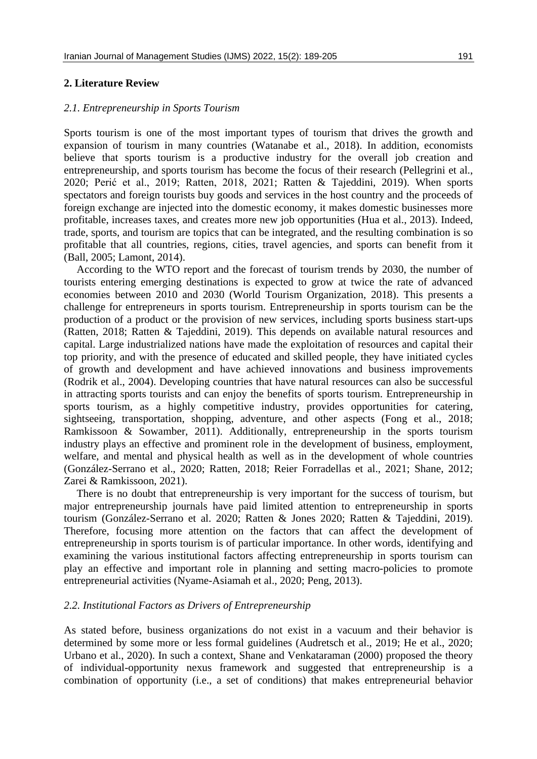## **2. Literature Review**

## *2.1. Entrepreneurship in Sports Tourism*

Sports tourism is one of the most important types of tourism that drives the growth and expansion of tourism in many countries (Watanabe et al., 2018). In addition, economists believe that sports tourism is a productive industry for the overall job creation and entrepreneurship, and sports tourism has become the focus of their research (Pellegrini et al., 2020; Perić et al., 2019; Ratten, 2018, 2021; Ratten & Tajeddini, 2019). When sports spectators and foreign tourists buy goods and services in the host country and the proceeds of foreign exchange are injected into the domestic economy, it makes domestic businesses more profitable, increases taxes, and creates more new job opportunities (Hua et al., 2013). Indeed, trade, sports, and tourism are topics that can be integrated, and the resulting combination is so profitable that all countries, regions, cities, travel agencies, and sports can benefit from it (Ball, 2005; Lamont, 2014).

According to the WTO report and the forecast of tourism trends by 2030, the number of tourists entering emerging destinations is expected to grow at twice the rate of advanced economies between 2010 and 2030 (World Tourism Organization, 2018). This presents a challenge for entrepreneurs in sports tourism. Entrepreneurship in sports tourism can be the production of a product or the provision of new services, including sports business start-ups (Ratten, 2018; Ratten & Tajeddini, 2019). This depends on available natural resources and capital. Large industrialized nations have made the exploitation of resources and capital their top priority, and with the presence of educated and skilled people, they have initiated cycles of growth and development and have achieved innovations and business improvements (Rodrik et al., 2004). Developing countries that have natural resources can also be successful in attracting sports tourists and can enjoy the benefits of sports tourism. Entrepreneurship in sports tourism, as a highly competitive industry, provides opportunities for catering, sightseeing, transportation, shopping, adventure, and other aspects (Fong et al., 2018; Ramkissoon & Sowamber, 2011). Additionally, entrepreneurship in the sports tourism industry plays an effective and prominent role in the development of business, employment, welfare, and mental and physical health as well as in the development of whole countries (González-Serrano et al., 2020; Ratten, 2018; Reier Forradellas et al., 2021; Shane, 2012; Zarei & Ramkissoon, 2021).

There is no doubt that entrepreneurship is very important for the success of tourism, but major entrepreneurship journals have paid limited attention to entrepreneurship in sports tourism (González-Serrano et al. 2020; Ratten & Jones 2020; Ratten & Tajeddini, 2019). Therefore, focusing more attention on the factors that can affect the development of entrepreneurship in sports tourism is of particular importance. In other words, identifying and examining the various institutional factors affecting entrepreneurship in sports tourism can play an effective and important role in planning and setting macro-policies to promote entrepreneurial activities (Nyame-Asiamah et al., 2020; Peng, 2013).

## *2.2. Institutional Factors as Drivers of Entrepreneurship*

As stated before, business organizations do not exist in a vacuum and their behavior is determined by some more or less formal guidelines (Audretsch et al., 2019; He et al., 2020; Urbano et al., 2020). In such a context, Shane and Venkataraman (2000) proposed the theory of individual-opportunity nexus framework and suggested that entrepreneurship is a combination of opportunity (i.e., a set of conditions) that makes entrepreneurial behavior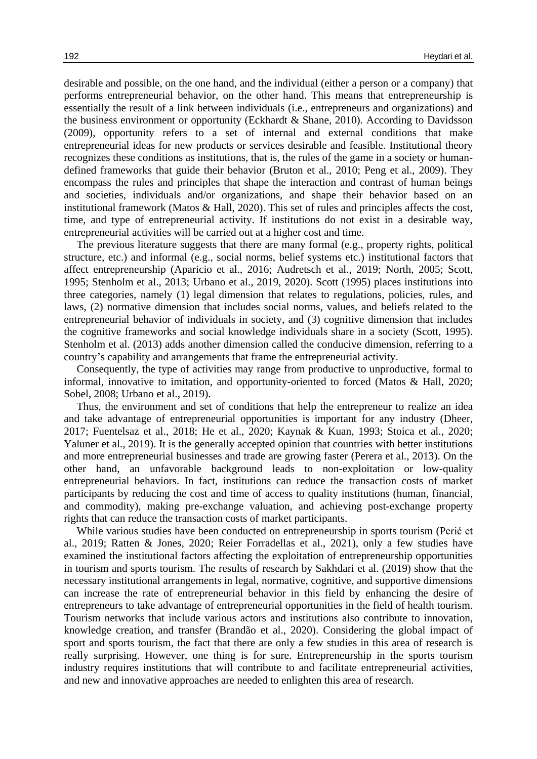desirable and possible, on the one hand, and the individual (either a person or a company) that performs entrepreneurial behavior, on the other hand. This means that entrepreneurship is essentially the result of a link between individuals (i.e., entrepreneurs and organizations) and the business environment or opportunity (Eckhardt & Shane, 2010). According to Davidsson (2009), opportunity refers to a set of internal and external conditions that make entrepreneurial ideas for new products or services desirable and feasible. Institutional theory recognizes these conditions as institutions, that is, the rules of the game in a society or humandefined frameworks that guide their behavior (Bruton et al., 2010; Peng et al., 2009). They encompass the rules and principles that shape the interaction and contrast of human beings and societies, individuals and/or organizations, and shape their behavior based on an institutional framework (Matos & Hall, 2020). This set of rules and principles affects the cost, time, and type of entrepreneurial activity. If institutions do not exist in a desirable way, entrepreneurial activities will be carried out at a higher cost and time.

The previous literature suggests that there are many formal (e.g., property rights, political structure, etc.) and informal (e.g., social norms, belief systems etc.) institutional factors that affect entrepreneurship (Aparicio et al., 2016; Audretsch et al., 2019; North, 2005; Scott, 1995; Stenholm et al., 2013; Urbano et al., 2019, 2020). Scott (1995) places institutions into three categories, namely (1) legal dimension that relates to regulations, policies, rules, and laws, (2) normative dimension that includes social norms, values, and beliefs related to the entrepreneurial behavior of individuals in society, and (3) cognitive dimension that includes the cognitive frameworks and social knowledge individuals share in a society (Scott, 1995). Stenholm et al. (2013) adds another dimension called the conducive dimension, referring to a country's capability and arrangements that frame the entrepreneurial activity.

Consequently, the type of activities may range from productive to unproductive, formal to informal, innovative to imitation, and opportunity-oriented to forced (Matos & Hall, 2020; Sobel, 2008; Urbano et al., 2019).

Thus, the environment and set of conditions that help the entrepreneur to realize an idea and take advantage of entrepreneurial opportunities is important for any industry (Dheer, 2017; Fuentelsaz et al., 2018; He et al., 2020; Kaynak & Kuan, 1993; Stoica et al., 2020; Yaluner et al., 2019). It is the generally accepted opinion that countries with better institutions and more entrepreneurial businesses and trade are growing faster (Perera et al., 2013). On the other hand, an unfavorable background leads to non-exploitation or low-quality entrepreneurial behaviors. In fact, institutions can reduce the transaction costs of market participants by reducing the cost and time of access to quality institutions (human, financial, and commodity), making pre-exchange valuation, and achieving post-exchange property rights that can reduce the transaction costs of market participants.

While various studies have been conducted on entrepreneurship in sports tourism (Perić et al., 2019; Ratten & Jones, 2020; Reier Forradellas et al., 2021), only a few studies have examined the institutional factors affecting the exploitation of entrepreneurship opportunities in tourism and sports tourism. The results of research by Sakhdari et al. (2019) show that the necessary institutional arrangements in legal, normative, cognitive, and supportive dimensions can increase the rate of entrepreneurial behavior in this field by enhancing the desire of entrepreneurs to take advantage of entrepreneurial opportunities in the field of health tourism. Tourism networks that include various actors and institutions also contribute to innovation, knowledge creation, and transfer (Brandão et al., 2020). Considering the global impact of sport and sports tourism, the fact that there are only a few studies in this area of research is really surprising. However, one thing is for sure. Entrepreneurship in the sports tourism industry requires institutions that will contribute to and facilitate entrepreneurial activities, and new and innovative approaches are needed to enlighten this area of research.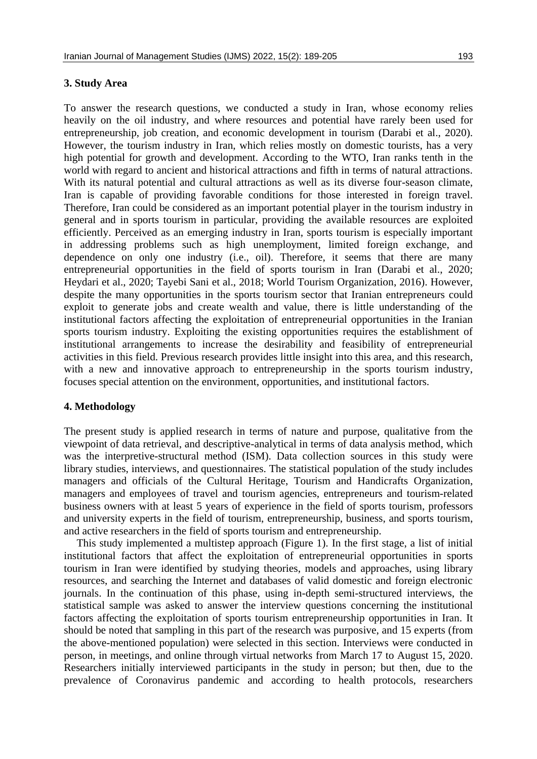## **3. Study Area**

To answer the research questions, we conducted a study in Iran, whose economy relies heavily on the oil industry, and where resources and potential have rarely been used for entrepreneurship, job creation, and economic development in tourism (Darabi et al., 2020). However, the tourism industry in Iran, which relies mostly on domestic tourists, has a very high potential for growth and development. According to the WTO, Iran ranks tenth in the world with regard to ancient and historical attractions and fifth in terms of natural attractions. With its natural potential and cultural attractions as well as its diverse four-season climate, Iran is capable of providing favorable conditions for those interested in foreign travel. Therefore, Iran could be considered as an important potential player in the tourism industry in general and in sports tourism in particular, providing the available resources are exploited efficiently. Perceived as an emerging industry in Iran, sports tourism is especially important in addressing problems such as high unemployment, limited foreign exchange, and dependence on only one industry (i.e., oil). Therefore, it seems that there are many entrepreneurial opportunities in the field of sports tourism in Iran (Darabi et al., 2020; Heydari et al., 2020; Tayebi Sani et al., 2018; World Tourism Organization, 2016). However, despite the many opportunities in the sports tourism sector that Iranian entrepreneurs could exploit to generate jobs and create wealth and value, there is little understanding of the institutional factors affecting the exploitation of entrepreneurial opportunities in the Iranian sports tourism industry. Exploiting the existing opportunities requires the establishment of institutional arrangements to increase the desirability and feasibility of entrepreneurial activities in this field. Previous research provides little insight into this area, and this research, with a new and innovative approach to entrepreneurship in the sports tourism industry, focuses special attention on the environment, opportunities, and institutional factors.

#### **4. Methodology**

The present study is applied research in terms of nature and purpose, qualitative from the viewpoint of data retrieval, and descriptive-analytical in terms of data analysis method, which was the interpretive-structural method (ISM). Data collection sources in this study were library studies, interviews, and questionnaires. The statistical population of the study includes managers and officials of the Cultural Heritage, Tourism and Handicrafts Organization, managers and employees of travel and tourism agencies, entrepreneurs and tourism-related business owners with at least 5 years of experience in the field of sports tourism, professors and university experts in the field of tourism, entrepreneurship, business, and sports tourism, and active researchers in the field of sports tourism and entrepreneurship.

This study implemented a multistep approach (Figure 1). In the first stage, a list of initial institutional factors that affect the exploitation of entrepreneurial opportunities in sports tourism in Iran were identified by studying theories, models and approaches, using library resources, and searching the Internet and databases of valid domestic and foreign electronic journals. In the continuation of this phase, using in-depth semi-structured interviews, the statistical sample was asked to answer the interview questions concerning the institutional factors affecting the exploitation of sports tourism entrepreneurship opportunities in Iran. It should be noted that sampling in this part of the research was purposive, and 15 experts (from the above-mentioned population) were selected in this section. Interviews were conducted in person, in meetings, and online through virtual networks from March 17 to August 15, 2020. Researchers initially interviewed participants in the study in person; but then, due to the prevalence of Coronavirus pandemic and according to health protocols, researchers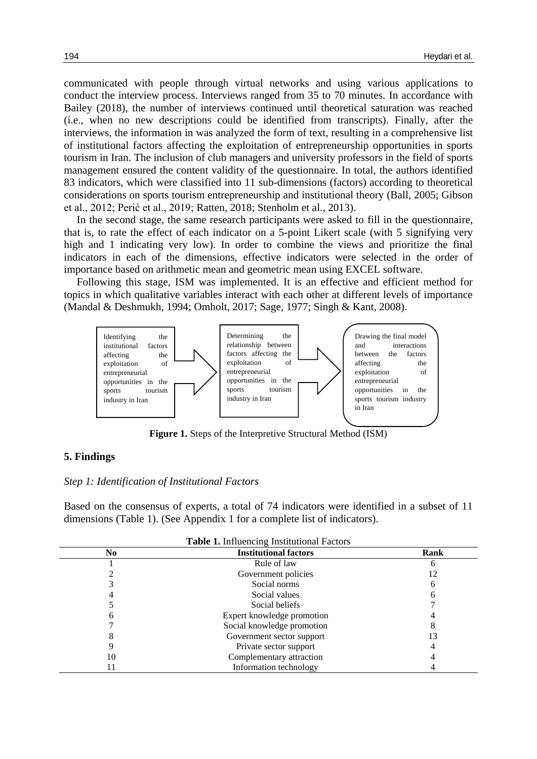communicated with people through virtual networks and using various applications to conduct the interview process. Interviews ranged from 35 to 70 minutes. In accordance with Bailey (2018), the number of interviews continued until theoretical saturation was reached (i.e., when no new descriptions could be identified from transcripts). Finally, after the interviews, the information in was analyzed the form of text, resulting in a comprehensive list of institutional factors affecting the exploitation of entrepreneurship opportunities in sports tourism in Iran. The inclusion of club managers and university professors in the field of sports management ensured the content validity of the questionnaire. In total, the authors identified 83 indicators, which were classified into 11 sub-dimensions (factors) according to theoretical considerations on sports tourism entrepreneurship and institutional theory (Ball, 2005; Gibson et al., 2012; Perić et al., 2019; Ratten, 2018; Stenholm et al., 2013).

In the second stage, the same research participants were asked to fill in the questionnaire, that is, to rate the effect of each indicator on a 5-point Likert scale (with 5 signifying very high and 1 indicating very low). In order to combine the views and prioritize the final indicators in each of the dimensions, effective indicators were selected in the order of importance based on arithmetic mean and geometric mean using EXCEL software.

Following this stage, ISM was implemented. It is an effective and efficient method for topics in which qualitative variables interact with each other at different levels of importance (Mandal & Deshmukh, 1994; Omholt, 2017; Sage, 1977; Singh & Kant, 2008).



**Figure 1.** Steps of the Interpretive Structural Method (ISM)

#### **5. Findings**

## *Step 1: Identification of Institutional Factors*

Based on the consensus of experts, a total of 74 indicators were identified in a subset of 11 dimensions (Table 1). (See Appendix 1 for a complete list of indicators).

| <b>Tuble 1, influenteing instructional I actors</b> |                              |      |  |  |  |  |  |
|-----------------------------------------------------|------------------------------|------|--|--|--|--|--|
| No.                                                 | <b>Institutional factors</b> | Rank |  |  |  |  |  |
|                                                     | Rule of law                  |      |  |  |  |  |  |
|                                                     | Government policies          |      |  |  |  |  |  |
|                                                     | Social norms                 |      |  |  |  |  |  |
|                                                     | Social values                |      |  |  |  |  |  |
|                                                     | Social beliefs               |      |  |  |  |  |  |
|                                                     | Expert knowledge promotion   |      |  |  |  |  |  |
|                                                     | Social knowledge promotion   |      |  |  |  |  |  |
|                                                     | Government sector support    |      |  |  |  |  |  |
|                                                     | Private sector support       |      |  |  |  |  |  |
| 10                                                  | Complementary attraction     |      |  |  |  |  |  |
|                                                     | Information technology       |      |  |  |  |  |  |

**Table 1.** Influencing Institutional Factors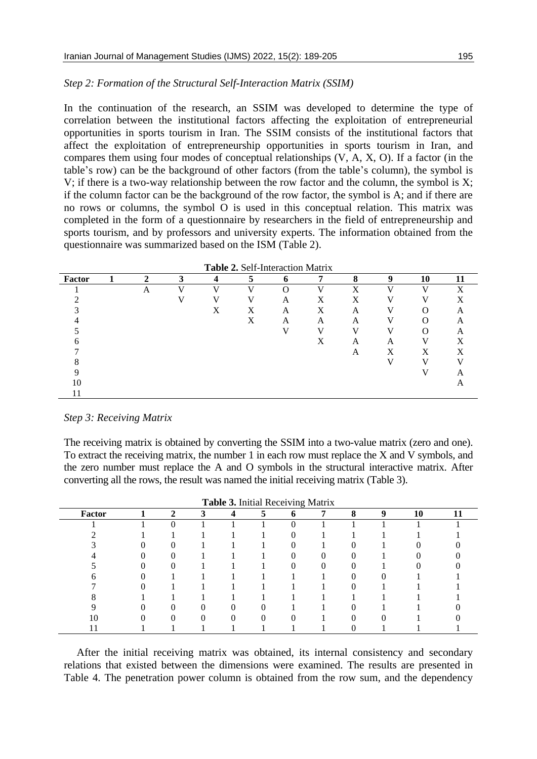#### *Step 2: Formation of the Structural Self-Interaction Matrix (SSIM)*

In the continuation of the research, an SSIM was developed to determine the type of correlation between the institutional factors affecting the exploitation of entrepreneurial opportunities in sports tourism in Iran. The SSIM consists of the institutional factors that affect the exploitation of entrepreneurship opportunities in sports tourism in Iran, and compares them using four modes of conceptual relationships (V, A, X, O). If a factor (in the table's row) can be the background of other factors (from the table's column), the symbol is V; if there is a two-way relationship between the row factor and the column, the symbol is X; if the column factor can be the background of the row factor, the symbol is A; and if there are no rows or columns, the symbol O is used in this conceptual relation. This matrix was completed in the form of a questionnaire by researchers in the field of entrepreneurship and sports tourism, and by professors and university experts. The information obtained from the questionnaire was summarized based on the ISM (Table 2).

| Table 2. Self-Interaction Matrix |  |   |   |   |   |   |   |   |          |              |    |
|----------------------------------|--|---|---|---|---|---|---|---|----------|--------------|----|
| Factor                           |  | ↑ | 3 | 4 |   | 6 | 7 | 8 | 9        | 10           | 11 |
|                                  |  | A | V | V | v | ∩ | V | v | $\bf{V}$ | $\mathbf{V}$ | X  |
|                                  |  |   |   |   |   | A | X | Х |          |              |    |
|                                  |  |   |   | X | X | A | X | A |          | $\Omega$     | А  |
|                                  |  |   |   |   | X | A | A | A |          |              | A  |
|                                  |  |   |   |   |   |   |   |   |          | ∩            | A  |
|                                  |  |   |   |   |   |   | X | A | A        |              | X  |
|                                  |  |   |   |   |   |   |   | A | Χ        | Χ            | Χ  |
|                                  |  |   |   |   |   |   |   |   |          |              |    |
|                                  |  |   |   |   |   |   |   |   |          |              |    |
| 10                               |  |   |   |   |   |   |   |   |          |              |    |
|                                  |  |   |   |   |   |   |   |   |          |              |    |

#### *Step 3: Receiving Matrix*

The receiving matrix is obtained by converting the SSIM into a two-value matrix (zero and one). To extract the receiving matrix, the number 1 in each row must replace the X and V symbols, and the zero number must replace the A and O symbols in the structural interactive matrix. After converting all the rows, the result was named the initial receiving matrix (Table 3).

| <b>Table 5.</b> Initial Receiving Matrix |  |              |  |   |  |             |   |   |   |    |    |
|------------------------------------------|--|--------------|--|---|--|-------------|---|---|---|----|----|
| Factor                                   |  | $\mathbf{2}$ |  | Δ |  | $\mathbf b$ | 7 | 8 | 9 | 10 | 11 |
|                                          |  |              |  |   |  |             |   |   |   |    |    |
|                                          |  |              |  |   |  |             |   |   |   |    |    |
|                                          |  |              |  |   |  |             |   |   |   |    |    |
|                                          |  |              |  |   |  |             |   |   |   |    |    |
|                                          |  |              |  |   |  |             |   |   |   |    |    |
|                                          |  |              |  |   |  |             |   |   |   |    |    |
|                                          |  |              |  |   |  |             |   |   |   |    |    |
|                                          |  |              |  |   |  |             |   |   |   |    |    |
|                                          |  |              |  |   |  |             |   |   |   |    |    |
| 10                                       |  |              |  |   |  |             |   |   |   |    |    |
|                                          |  |              |  |   |  |             |   |   |   |    |    |

**Table 3.** Initial Receiving Matrix

After the initial receiving matrix was obtained, its internal consistency and secondary relations that existed between the dimensions were examined. The results are presented in Table 4. The penetration power column is obtained from the row sum, and the dependency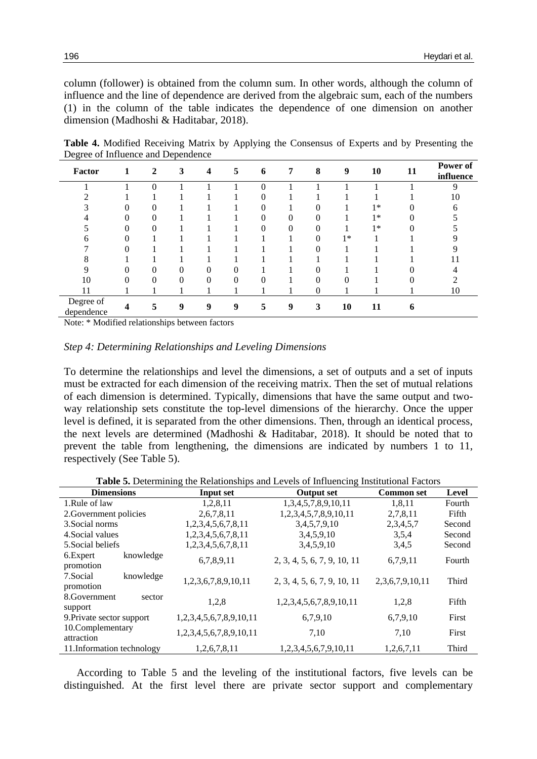column (follower) is obtained from the column sum. In other words, although the column of influence and the line of dependence are derived from the algebraic sum, each of the numbers (1) in the column of the table indicates the dependence of one dimension on another dimension (Madhoshi & Haditabar, 2018).

**Table 4.** Modified Receiving Matrix by Applying the Consensus of Experts and by Presenting the Degree of Influence and Dependence

| Factor                  | 1 | 2        | $\mathbf{3}$ | $\boldsymbol{4}$ | 5 <sup>5</sup>   | 6        | 7        | 8                | 9        | 10   | 11 | Power of<br>influence |
|-------------------------|---|----------|--------------|------------------|------------------|----------|----------|------------------|----------|------|----|-----------------------|
|                         |   | $\Omega$ |              |                  |                  | 0        |          |                  |          |      |    | Q                     |
|                         |   |          |              |                  |                  | 0        |          |                  |          |      |    | 10                    |
|                         |   | 0        |              |                  |                  |          |          |                  |          | $1*$ |    | 6                     |
|                         |   | $\Omega$ |              |                  |                  | 0        | 0        |                  |          | $1*$ |    |                       |
|                         | 0 | 0        |              |                  |                  |          | $\theta$ |                  |          | $1*$ |    |                       |
|                         | 0 |          |              |                  |                  |          |          |                  | $1*$     |      |    |                       |
|                         |   |          |              |                  |                  |          |          |                  |          |      |    |                       |
| 8                       |   |          |              |                  |                  |          |          |                  |          |      |    |                       |
|                         |   | 0        |              | 0                | 0                |          |          |                  |          |      |    |                       |
| 10                      |   | $\Omega$ | $\Omega$     | $\theta$         | $\Omega$         | $\Omega$ |          |                  | $\Omega$ |      |    |                       |
| 11                      |   |          |              |                  |                  |          |          | $\boldsymbol{0}$ |          |      |    | 10                    |
| Degree of<br>dependence |   | 5        | 9            | 9                | $\boldsymbol{q}$ | 5        | 9        | 3                | 10       | 11   | 6  |                       |

Note: \* Modified relationships between factors

#### *Step 4: Determining Relationships and Leveling Dimensions*

To determine the relationships and level the dimensions, a set of outputs and a set of inputs must be extracted for each dimension of the receiving matrix. Then the set of mutual relations of each dimension is determined. Typically, dimensions that have the same output and twoway relationship sets constitute the top-level dimensions of the hierarchy. Once the upper level is defined, it is separated from the other dimensions. Then, through an identical process, the next levels are determined (Madhoshi & Haditabar, 2018). It should be noted that to prevent the table from lengthening, the dimensions are indicated by numbers 1 to 11, respectively (See Table 5).

**Table 5.** Determining the Relationships and Levels of Influencing Institutional Factors

| <b>Dimensions</b>                   | Input set               | <b>Output set</b>           | <b>Common set</b> | Level  |
|-------------------------------------|-------------------------|-----------------------------|-------------------|--------|
| 1.Rule of law                       | 1,2,8,11                | 1,3,4,5,7,8,9,10,11         | 1,8,11            | Fourth |
| 2. Government policies              | 2,6,7,8,11              | 1,2,3,4,5,7,8,9,10,11       | 2,7,8,11          | Fifth  |
| 3. Social norms                     | 1,2,3,4,5,6,7,8,11      | 3,4,5,7,9,10                | 2,3,4,5,7         | Second |
| 4. Social values                    | 1,2,3,4,5,6,7,8,11      | 3,4,5,9,10                  | 3,5,4             | Second |
| 5. Social beliefs                   | 1,2,3,4,5,6,7,8,11      | 3,4,5,9,10                  | 3,4,5             | Second |
| 6. Expert<br>knowledge<br>promotion | 6,7,8,9,11              | 2, 3, 4, 5, 6, 7, 9, 10, 11 | 6,7,9,11          | Fourth |
| 7. Social<br>knowledge<br>promotion | 1,2,3,6,7,8,9,10,11     | 2, 3, 4, 5, 6, 7, 9, 10, 11 | 2,3,6,7,9,10,11   | Third  |
| 8. Government<br>sector<br>support  | 1,2,8                   | 1,2,3,4,5,6,7,8,9,10,11     | 1,2,8             | Fifth  |
| 9. Private sector support           | 1,2,3,4,5,6,7,8,9,10,11 | 6,7,9,10                    | 6,7,9,10          | First  |
| 10.Complementary<br>attraction      | 1,2,3,4,5,6,7,8,9,10,11 | 7,10                        | 7.10              | First  |
| 11. Information technology          | 1,2,6,7,8,11            | 1,2,3,4,5,6,7,9,10,11       | 1,2,6,7,11        | Third  |

According to Table 5 and the leveling of the institutional factors, five levels can be distinguished. At the first level there are private sector support and complementary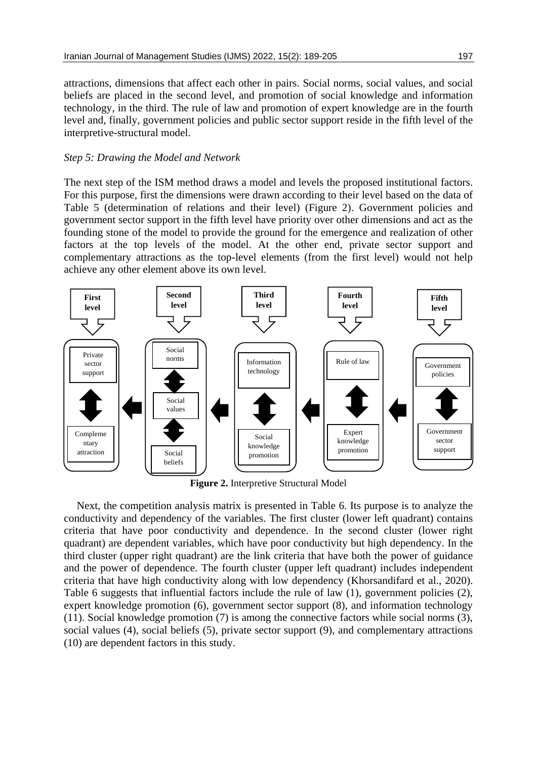attractions, dimensions that affect each other in pairs. Social norms, social values, and social beliefs are placed in the second level, and promotion of social knowledge and information technology, in the third. The rule of law and promotion of expert knowledge are in the fourth level and, finally, government policies and public sector support reside in the fifth level of the interpretive-structural model.

#### *Step 5: Drawing the Model and Network*

The next step of the ISM method draws a model and levels the proposed institutional factors. For this purpose, first the dimensions were drawn according to their level based on the data of Table 5 (determination of relations and their level) (Figure 2). Government policies and government sector support in the fifth level have priority over other dimensions and act as the founding stone of the model to provide the ground for the emergence and realization of other factors at the top levels of the model. At the other end, private sector support and complementary attractions as the top-level elements (from the first level) would not help achieve any other element above its own level.



**Figure 2.** Interpretive Structural Model

Next, the competition analysis matrix is presented in Table 6. Its purpose is to analyze the conductivity and dependency of the variables. The first cluster (lower left quadrant) contains criteria that have poor conductivity and dependence. In the second cluster (lower right quadrant) are dependent variables, which have poor conductivity but high dependency. In the third cluster (upper right quadrant) are the link criteria that have both the power of guidance and the power of dependence. The fourth cluster (upper left quadrant) includes independent criteria that have high conductivity along with low dependency (Khorsandifard et al., 2020). Table 6 suggests that influential factors include the rule of law (1), government policies (2), expert knowledge promotion (6), government sector support (8), and information technology (11). Social knowledge promotion (7) is among the connective factors while social norms (3), social values (4), social beliefs (5), private sector support (9), and complementary attractions (10) are dependent factors in this study.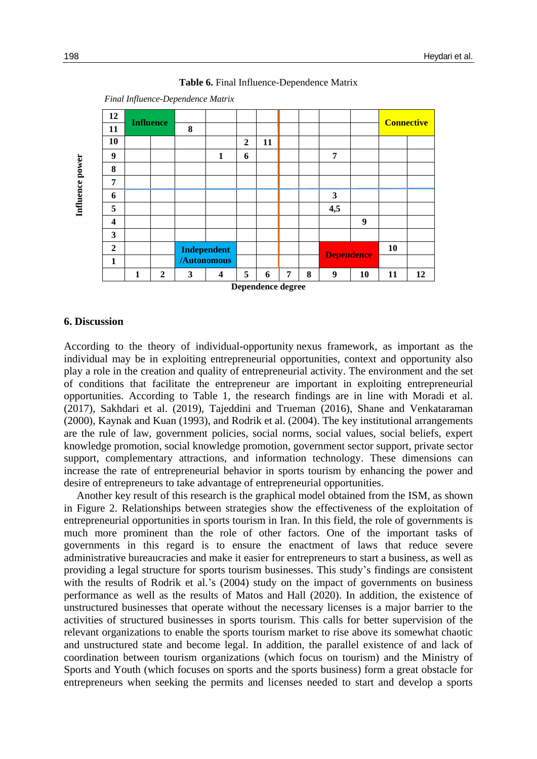

#### **Table 6.** Final Influence-Dependence Matrix

 *Final Influence-Dependence Matrix*

#### **6. Discussion**

According to the theory of individual-opportunity nexus framework, as important as the individual may be in exploiting entrepreneurial opportunities, context and opportunity also play a role in the creation and quality of entrepreneurial activity. The environment and the set of conditions that facilitate the entrepreneur are important in exploiting entrepreneurial opportunities. According to Table 1, the research findings are in line with Moradi et al. (2017), Sakhdari et al. (2019), Tajeddini and Trueman (2016), Shane and Venkataraman (2000), Kaynak and Kuan (1993), and Rodrik et al. (2004). The key institutional arrangements are the rule of law, government policies, social norms, social values, social beliefs, expert knowledge promotion, social knowledge promotion, government sector support, private sector support, complementary attractions, and information technology. These dimensions can increase the rate of entrepreneurial behavior in sports tourism by enhancing the power and desire of entrepreneurs to take advantage of entrepreneurial opportunities.

Another key result of this research is the graphical model obtained from the ISM, as shown in Figure 2. Relationships between strategies show the effectiveness of the exploitation of entrepreneurial opportunities in sports tourism in Iran. In this field, the role of governments is much more prominent than the role of other factors. One of the important tasks of governments in this regard is to ensure the enactment of laws that reduce severe administrative bureaucracies and make it easier for entrepreneurs to start a business, as well as providing a legal structure for sports tourism businesses. This study's findings are consistent with the results of Rodrik et al.'s (2004) study on the impact of governments on business performance as well as the results of Matos and Hall (2020). In addition, the existence of unstructured businesses that operate without the necessary licenses is a major barrier to the activities of structured businesses in sports tourism. This calls for better supervision of the relevant organizations to enable the sports tourism market to rise above its somewhat chaotic and unstructured state and become legal. In addition, the parallel existence of and lack of coordination between tourism organizations (which focus on tourism) and the Ministry of Sports and Youth (which focuses on sports and the sports business) form a great obstacle for **Entrepreneurs when seeking the permits and licenses and the permit in the permit of the permit and licenses of the permit of the permit and licenses of the permit of the permit of the permit and license of the permitter**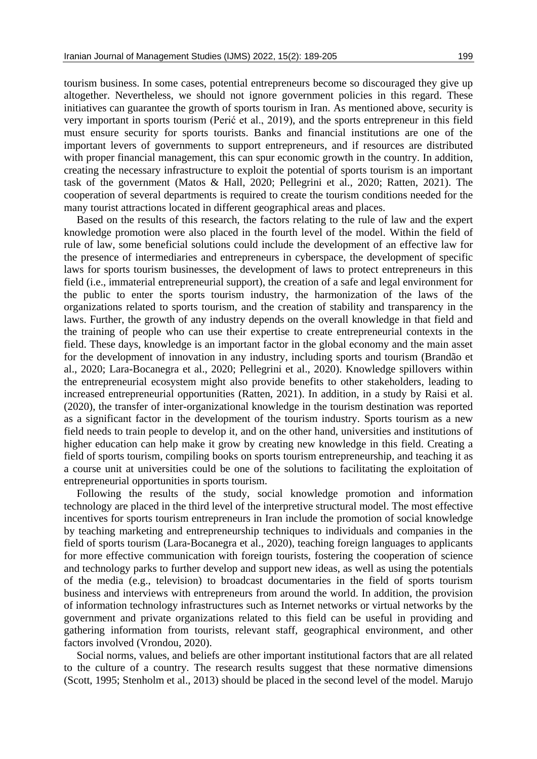tourism business. In some cases, potential entrepreneurs become so discouraged they give up altogether. Nevertheless, we should not ignore government policies in this regard. These initiatives can guarantee the growth of sports tourism in Iran. As mentioned above, security is very important in sports tourism (Perić et al., 2019), and the sports entrepreneur in this field must ensure security for sports tourists. Banks and financial institutions are one of the important levers of governments to support entrepreneurs, and if resources are distributed with proper financial management, this can spur economic growth in the country. In addition, creating the necessary infrastructure to exploit the potential of sports tourism is an important task of the government (Matos & Hall, 2020; Pellegrini et al., 2020; Ratten, 2021). The cooperation of several departments is required to create the tourism conditions needed for the many tourist attractions located in different geographical areas and places.

Based on the results of this research, the factors relating to the rule of law and the expert knowledge promotion were also placed in the fourth level of the model. Within the field of rule of law, some beneficial solutions could include the development of an effective law for the presence of intermediaries and entrepreneurs in cyberspace, the development of specific laws for sports tourism businesses, the development of laws to protect entrepreneurs in this field (i.e., immaterial entrepreneurial support), the creation of a safe and legal environment for the public to enter the sports tourism industry, the harmonization of the laws of the organizations related to sports tourism, and the creation of stability and transparency in the laws. Further, the growth of any industry depends on the overall knowledge in that field and the training of people who can use their expertise to create entrepreneurial contexts in the field. These days, knowledge is an important factor in the global economy and the main asset for the development of innovation in any industry, including sports and tourism (Brandão et al., 2020; Lara-Bocanegra et al., 2020; Pellegrini et al., 2020). Knowledge spillovers within the entrepreneurial ecosystem might also provide benefits to other stakeholders, leading to increased entrepreneurial opportunities (Ratten, 2021). In addition, in a study by Raisi et al. (2020), the transfer of inter-organizational knowledge in the tourism destination was reported as a significant factor in the development of the tourism industry. Sports tourism as a new field needs to train people to develop it, and on the other hand, universities and institutions of higher education can help make it grow by creating new knowledge in this field. Creating a field of sports tourism, compiling books on sports tourism entrepreneurship, and teaching it as a course unit at universities could be one of the solutions to facilitating the exploitation of entrepreneurial opportunities in sports tourism.

Following the results of the study, social knowledge promotion and information technology are placed in the third level of the interpretive structural model. The most effective incentives for sports tourism entrepreneurs in Iran include the promotion of social knowledge by teaching marketing and entrepreneurship techniques to individuals and companies in the field of sports tourism (Lara-Bocanegra et al., 2020), teaching foreign languages to applicants for more effective communication with foreign tourists, fostering the cooperation of science and technology parks to further develop and support new ideas, as well as using the potentials of the media (e.g., television) to broadcast documentaries in the field of sports tourism business and interviews with entrepreneurs from around the world. In addition, the provision of information technology infrastructures such as Internet networks or virtual networks by the government and private organizations related to this field can be useful in providing and gathering information from tourists, relevant staff, geographical environment, and other factors involved (Vrondou, 2020).

Social norms, values, and beliefs are other important institutional factors that are all related to the culture of a country. The research results suggest that these normative dimensions (Scott, 1995; Stenholm et al., 2013) should be placed in the second level of the model. Marujo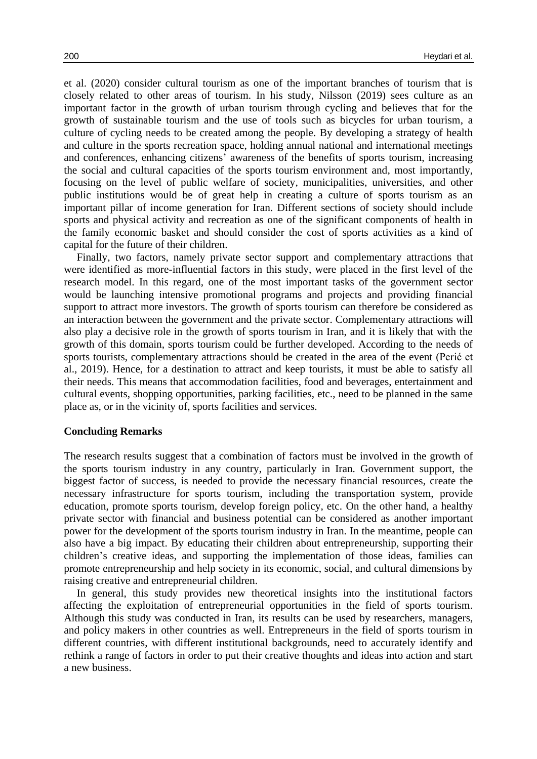et al. (2020) consider cultural tourism as one of the important branches of tourism that is closely related to other areas of tourism. In his study, Nilsson (2019) sees culture as an important factor in the growth of urban tourism through cycling and believes that for the growth of sustainable tourism and the use of tools such as bicycles for urban tourism, a culture of cycling needs to be created among the people. By developing a strategy of health and culture in the sports recreation space, holding annual national and international meetings and conferences, enhancing citizens' awareness of the benefits of sports tourism, increasing the social and cultural capacities of the sports tourism environment and, most importantly, focusing on the level of public welfare of society, municipalities, universities, and other public institutions would be of great help in creating a culture of sports tourism as an important pillar of income generation for Iran. Different sections of society should include sports and physical activity and recreation as one of the significant components of health in the family economic basket and should consider the cost of sports activities as a kind of capital for the future of their children.

Finally, two factors, namely private sector support and complementary attractions that were identified as more-influential factors in this study, were placed in the first level of the research model. In this regard, one of the most important tasks of the government sector would be launching intensive promotional programs and projects and providing financial support to attract more investors. The growth of sports tourism can therefore be considered as an interaction between the government and the private sector. Complementary attractions will also play a decisive role in the growth of sports tourism in Iran, and it is likely that with the growth of this domain, sports tourism could be further developed. According to the needs of sports tourists, complementary attractions should be created in the area of the event (Perić et al., 2019). Hence, for a destination to attract and keep tourists, it must be able to satisfy all their needs. This means that accommodation facilities, food and beverages, entertainment and cultural events, shopping opportunities, parking facilities, etc., need to be planned in the same place as, or in the vicinity of, sports facilities and services.

#### **Concluding Remarks**

The research results suggest that a combination of factors must be involved in the growth of the sports tourism industry in any country, particularly in Iran. Government support, the biggest factor of success, is needed to provide the necessary financial resources, create the necessary infrastructure for sports tourism, including the transportation system, provide education, promote sports tourism, develop foreign policy, etc. On the other hand, a healthy private sector with financial and business potential can be considered as another important power for the development of the sports tourism industry in Iran. In the meantime, people can also have a big impact. By educating their children about entrepreneurship, supporting their children's creative ideas, and supporting the implementation of those ideas, families can promote entrepreneurship and help society in its economic, social, and cultural dimensions by raising creative and entrepreneurial children.

In general, this study provides new theoretical insights into the institutional factors affecting the exploitation of entrepreneurial opportunities in the field of sports tourism. Although this study was conducted in Iran, its results can be used by researchers, managers, and policy makers in other countries as well. Entrepreneurs in the field of sports tourism in different countries, with different institutional backgrounds, need to accurately identify and rethink a range of factors in order to put their creative thoughts and ideas into action and start a new business.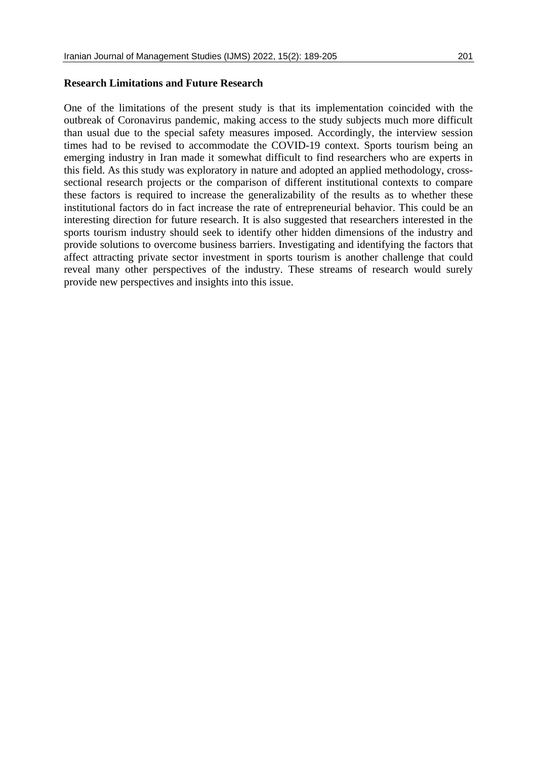## **Research Limitations and Future Research**

One of the limitations of the present study is that its implementation coincided with the outbreak of Coronavirus pandemic, making access to the study subjects much more difficult than usual due to the special safety measures imposed. Accordingly, the interview session times had to be revised to accommodate the COVID-19 context. Sports tourism being an emerging industry in Iran made it somewhat difficult to find researchers who are experts in this field. As this study was exploratory in nature and adopted an applied methodology, crosssectional research projects or the comparison of different institutional contexts to compare these factors is required to increase the generalizability of the results as to whether these institutional factors do in fact increase the rate of entrepreneurial behavior. This could be an interesting direction for future research. It is also suggested that researchers interested in the sports tourism industry should seek to identify other hidden dimensions of the industry and provide solutions to overcome business barriers. Investigating and identifying the factors that affect attracting private sector investment in sports tourism is another challenge that could reveal many other perspectives of the industry. These streams of research would surely provide new perspectives and insights into this issue.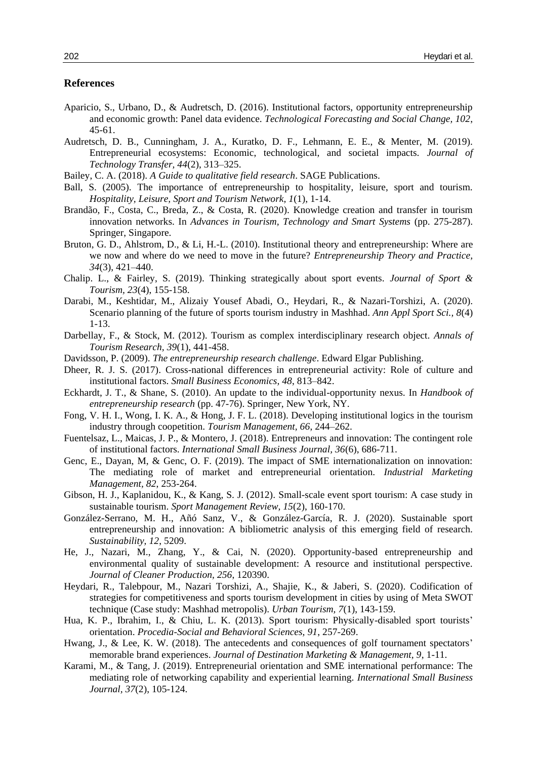## **References**

- Aparicio, S., Urbano, D., & Audretsch, D. (2016). Institutional factors, opportunity entrepreneurship and economic growth: Panel data evidence. *Technological Forecasting and Social Change, 102*, 45-61.
- Audretsch, D. B., Cunningham, J. A., Kuratko, D. F., Lehmann, E. E., & Menter, M. (2019). Entrepreneurial ecosystems: Economic, technological, and societal impacts. *Journal of Technology Transfer, 44*(2), 313–325.
- Bailey, C. A. (2018). *A Guide to qualitative field research*. SAGE Publications.
- Ball, S. (2005). The importance of entrepreneurship to hospitality, leisure, sport and tourism. *Hospitality, Leisure, Sport and Tourism Network, 1*(1), 1-14.
- Brandão, F., Costa, C., Breda, Z., & Costa, R. (2020). Knowledge creation and transfer in tourism innovation networks. In *Advances in Tourism, Technology and Smart Systems* (pp. 275-287). Springer, Singapore.
- Bruton, G. D., Ahlstrom, D., & Li, H.-L. (2010). Institutional theory and entrepreneurship: Where are we now and where do we need to move in the future? *Entrepreneurship Theory and Practice, 34*(3), 421–440.
- Chalip. L., & Fairley, S. (2019). Thinking strategically about sport events. *Journal of Sport & Tourism, 23*(4), 155-158.
- Darabi, M., Keshtidar, M., Alizaiy Yousef Abadi, O., Heydari, R., & Nazari-Torshizi, A. (2020). Scenario planning of the future of sports tourism industry in Mashhad. *Ann Appl Sport Sci., 8*(4) 1-13.
- Darbellay, F., & Stock, M. (2012). Tourism as complex interdisciplinary research object. *Annals of Tourism Research, 39*(1), 441-458.
- Davidsson, P. (2009). *The entrepreneurship research challenge*. Edward Elgar Publishing.
- Dheer, R. J. S. (2017). Cross-national differences in entrepreneurial activity: Role of culture and institutional factors. *Small Business Economics, 48*, 813–842.
- Eckhardt, J. T., & Shane, S. (2010). An update to the individual-opportunity nexus. In *Handbook of entrepreneurship research* (pp. 47-76). Springer, New York, NY.
- Fong, V. H. I., Wong, I. K. A., & Hong, J. F. L. (2018). Developing institutional logics in the tourism industry through coopetition. *Tourism Management, 66*, 244–262.
- Fuentelsaz, L., Maicas, J. P., & Montero, J. (2018). Entrepreneurs and innovation: The contingent role of institutional factors. *International Small Business Journal, 36*(6), 686-711.
- Genc, E., Dayan, M, & Genc, O. F. (2019). The impact of SME internationalization on innovation: The mediating role of market and entrepreneurial orientation. *Industrial Marketing Management, 82*, 253-264.
- Gibson, H. J., Kaplanidou, K., & Kang, S. J. (2012). Small-scale event sport tourism: A case study in sustainable tourism. *Sport Management Review, 15*(2), 160-170.
- González-Serrano, M. H., Añó Sanz, V., & González-García, R. J. (2020). Sustainable sport entrepreneurship and innovation: A bibliometric analysis of this emerging field of research. *Sustainability, 12*, 5209.
- He, J., Nazari, M., Zhang, Y., & Cai, N. (2020). Opportunity-based entrepreneurship and environmental quality of sustainable development: A resource and institutional perspective. *Journal of Cleaner Production, 256*, 120390.
- Heydari, R., Talebpour, M., Nazari Torshizi, A., Shajie, K., & Jaberi, S. (2020). Codification of strategies for competitiveness and sports tourism development in cities by using of Meta SWOT technique (Case study: Mashhad metropolis). *Urban Tourism, 7*(1), 143-159.
- Hua, K. P., Ibrahim, I., & Chiu, L. K. (2013). Sport tourism: Physically-disabled sport tourists' orientation. *Procedia-Social and Behavioral Sciences, 91*, 257-269.
- Hwang, J., & Lee, K. W. (2018). The antecedents and consequences of golf tournament spectators' memorable brand experiences. *Journal of Destination Marketing & Management, 9*, 1-11.
- Karami, M., & Tang, J. (2019). Entrepreneurial orientation and SME international performance: The mediating role of networking capability and experiential learning. *International Small Business Journal, 37*(2), 105-124.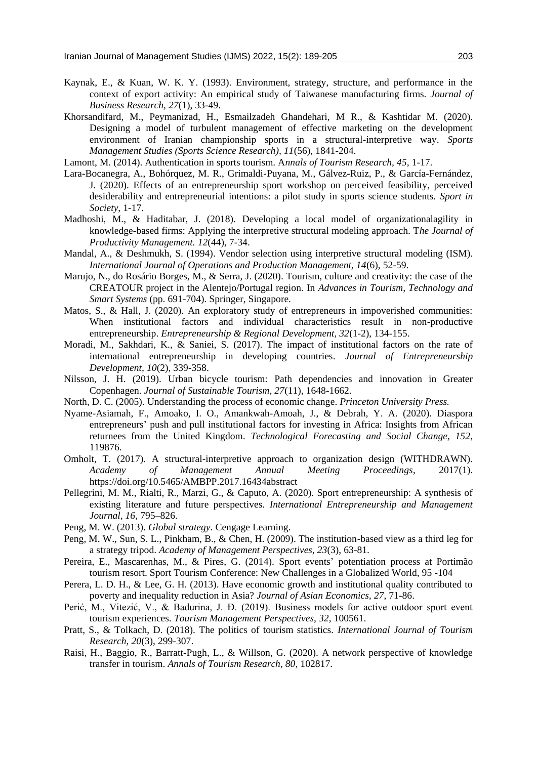- Kaynak, E., & Kuan, W. K. Y. (1993). Environment, strategy, structure, and performance in the context of export activity: An empirical study of Taiwanese manufacturing firms. *Journal of Business Research, 27*(1), 33-49.
- Khorsandifard, M., Peymanizad, H., Esmailzadeh Ghandehari, M R., & Kashtidar M. (2020). Designing a model of turbulent management of effective marketing on the development environment of Iranian championship sports in a structural-interpretive way. *Sports Management Studies (Sports Science Research), 11*(56), 1841-204.
- Lamont, M. (2014). Authentication in sports tourism. A*nnals of Tourism Research, 45*, 1-17.
- Lara-Bocanegra, A., Bohórquez, M. R., Grimaldi-Puyana, M., Gálvez-Ruiz, P., & García-Fernández, J. (2020). Effects of an entrepreneurship sport workshop on perceived feasibility, perceived desiderability and entrepreneurial intentions: a pilot study in sports science students. *Sport in Society*, 1-17.
- Madhoshi, M., & Haditabar, J. (2018). Developing a local model of organizationalagility in knowledge-based firms: Applying the interpretive structural modeling approach. T*he Journal of Productivity Management. 12*(44), 7-34.
- Mandal, A., & Deshmukh, S. (1994). Vendor selection using interpretive structural modeling (ISM). *International Journal of Operations and Production Management, 14*(6), 52-59.
- Marujo, N., do Rosário Borges, M., & Serra, J. (2020). Tourism, culture and creativity: the case of the CREATOUR project in the Alentejo/Portugal region. In *Advances in Tourism, Technology and Smart Systems* (pp. 691-704). Springer, Singapore.
- Matos, S., & Hall, J. (2020). An exploratory study of entrepreneurs in impoverished communities: When institutional factors and individual characteristics result in non-productive entrepreneurship. *Entrepreneurship & Regional Development, 32*(1-2), 134-155.
- Moradi, M., Sakhdari, K., & Saniei, S. (2017). The impact of institutional factors on the rate of international entrepreneurship in developing countries. *Journal of Entrepreneurship Development, 10*(2), 339-358.
- Nilsson, J. H. (2019). Urban bicycle tourism: Path dependencies and innovation in Greater Copenhagen. *Journal of Sustainable Tourism, 27*(11), 1648-1662.
- North, D. C. (2005). Understanding the process of economic change. *Princeton University Press.*
- Nyame-Asiamah, F., Amoako, I. O., Amankwah-Amoah, J., & Debrah, Y. A. (2020). Diaspora entrepreneurs' push and pull institutional factors for investing in Africa: Insights from African returnees from the United Kingdom. *Technological Forecasting and Social Change, 152*, 119876.
- Omholt, T. (2017). A structural-interpretive approach to organization design (WITHDRAWN). *Academy of Management Annual Meeting Proceedings*, 2017(1). https://doi.org/10.5465/AMBPP.2017.16434abstract
- Pellegrini, M. M., Rialti, R., Marzi, G., & Caputo, A. (2020). Sport entrepreneurship: A synthesis of existing literature and future perspectives. *International Entrepreneurship and Management Journal, 16*, 795–826.
- Peng, M. W. (2013). *Global strategy*. Cengage Learning.
- Peng, M. W., Sun, S. L., Pinkham, B., & Chen, H. (2009). The institution-based view as a third leg for a strategy tripod. *Academy of Management Perspectives, 23*(3), 63-81.
- Pereira, E., Mascarenhas, M., & Pires, G. (2014). Sport events' potentiation process at Portimão tourism resort. Sport Tourism Conference: New Challenges in a Globalized World, 95 -104
- Perera, L. D. H., & Lee, G. H. (2013). Have economic growth and institutional quality contributed to poverty and inequality reduction in Asia? *Journal of Asian Economics, 27*, 71-86.
- Perić, M., Vitezić, V., & Badurina, J. Đ. (2019). Business models for active outdoor sport event tourism experiences. *Tourism Management Perspectives, 32*, 100561.
- Pratt, S., & Tolkach, D. (2018). The politics of tourism statistics. *International Journal of Tourism Research, 20*(3), 299-307.
- Raisi, H., Baggio, R., Barratt-Pugh, L., & Willson, G. (2020). A network perspective of knowledge transfer in tourism. *Annals of Tourism Research, 80*, 102817.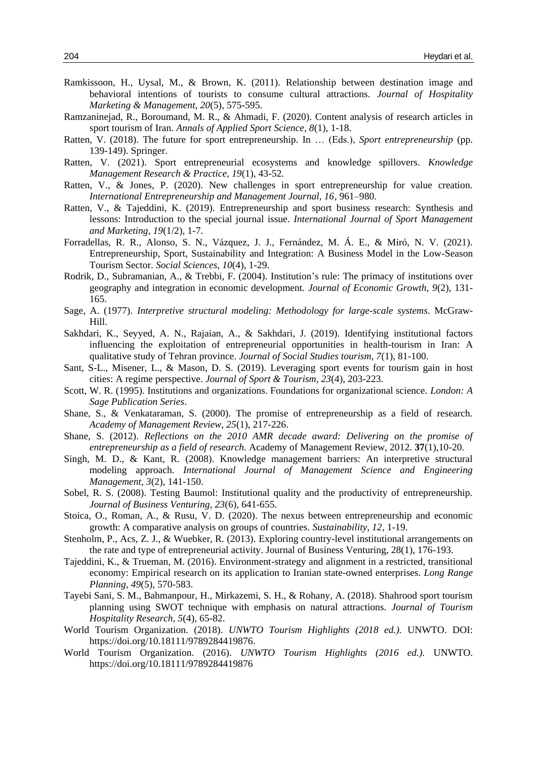- Ramkissoon, H., Uysal, M., & Brown, K. (2011). Relationship between destination image and behavioral intentions of tourists to consume cultural attractions. *Journal of Hospitality Marketing & Management, 20*(5), 575-595.
- Ramzaninejad, R., Boroumand, M. R., & Ahmadi, F. (2020). Content analysis of research articles in sport tourism of Iran. *Annals of Applied Sport Science, 8*(1), 1-18.
- Ratten, V. (2018). The future for sport entrepreneurship. In … (Eds.), *Sport entrepreneurship* (pp. 139-149). Springer.
- Ratten, V. (2021). Sport entrepreneurial ecosystems and knowledge spillovers. *Knowledge Management Research & Practice, 19*(1), 43-52.
- Ratten, V., & Jones, P. (2020). New challenges in sport entrepreneurship for value creation. *International Entrepreneurship and Management Journal, 16*, 961–980.
- Ratten, V., & Tajeddini, K. (2019). Entrepreneurship and sport business research: Synthesis and lessons: Introduction to the special journal issue. *International Journal of Sport Management and Marketing, 19*(1/2), 1-7.
- Forradellas, R. R., Alonso, S. N., Vázquez, J. J., Fernández, M. Á. E., & Miró, N. V. (2021). Entrepreneurship, Sport, Sustainability and Integration: A Business Model in the Low-Season Tourism Sector. *Social Sciences*, *10*(4), 1-29.
- Rodrik, D., Subramanian, A., & Trebbi, F. (2004). Institution's rule: The primacy of institutions over geography and integration in economic development. *Journal of Economic Growth, 9*(2), 131- 165.
- Sage, A. (1977). *Interpretive structural modeling: Methodology for large-scale systems*. McGraw-Hill.
- Sakhdari, K., Seyyed, A. N., Rajaian, A., & Sakhdari, J. (2019). Identifying institutional factors influencing the exploitation of entrepreneurial opportunities in health-tourism in Iran: A qualitative study of Tehran province. *Journal of Social Studies tourism, 7*(1), 81-100.
- Sant, S-L., Misener, L., & Mason, D. S. (2019). Leveraging sport events for tourism gain in host cities: A regime perspective. *Journal of Sport & Tourism, 23*(4), 203-223.
- Scott, W. R. (1995). Institutions and organizations. Foundations for organizational science. *London: A Sage Publication Series*.
- Shane, S., & Venkataraman, S. (2000). The promise of entrepreneurship as a field of research. *Academy of Management Review, 25*(1), 217-226.
- Shane, S. (2012). *Reflections on the 2010 AMR decade award: Delivering on the promise of entrepreneurship as a field of research.* Academy of Management Review, 2012. **37**(1),10-20.
- Singh, M. D., & Kant, R. (2008). Knowledge management barriers: An interpretive structural modeling approach. *International Journal of Management Science and Engineering Management, 3*(2), 141-150.
- Sobel, R. S. (2008). Testing Baumol: Institutional quality and the productivity of entrepreneurship. *Journal of Business Venturing, 23*(6), 641-655.
- Stoica, O., Roman, A., & Rusu, V. D. (2020). The nexus between entrepreneurship and economic growth: A comparative analysis on groups of countries. *Sustainability, 12*, 1-19.
- Stenholm, P., Acs, Z. J., & Wuebker, R. (2013). Exploring country-level institutional arrangements on the rate and type of entrepreneurial activity. Journal of Business Venturing, 28(1), 176-193.
- Tajeddini, K., & Trueman, M. (2016). Environment-strategy and alignment in a restricted, transitional economy: Empirical research on its application to Iranian state-owned enterprises. *Long Range Planning*, *49*(5), 570-583.
- Tayebi Sani, S. M., Bahmanpour, H., Mirkazemi, S. H., & Rohany, A. (2018). Shahrood sport tourism planning using SWOT technique with emphasis on natural attractions. *Journal of Tourism Hospitality Research, 5*(4), 65-82.
- World Tourism Organization. (2018). *UNWTO Tourism Highlights (2018 ed.).* UNWTO. DOI: https://doi.org/10.18111/9789284419876.
- World Tourism Organization. (2016). *UNWTO Tourism Highlights (2016 ed.).* UNWTO. https://doi.org/10.18111/9789284419876